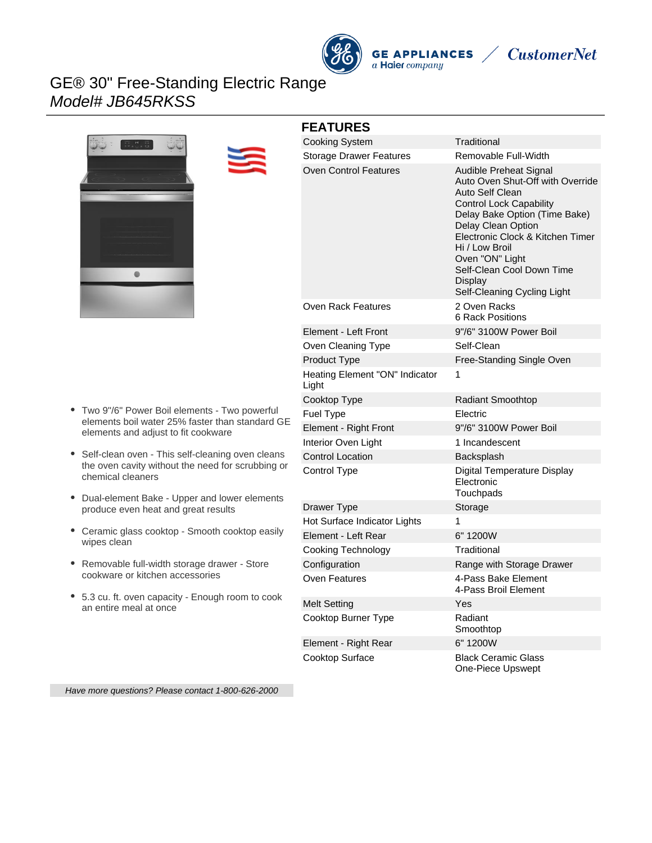



# **CustomerNet**

# GE® 30" Free-Standing Electric Range Model# JB645RKSS



### **FEATURES**

| FEAIURES                                |                                                                                                                                                                                                                                                                                                                        |
|-----------------------------------------|------------------------------------------------------------------------------------------------------------------------------------------------------------------------------------------------------------------------------------------------------------------------------------------------------------------------|
| <b>Cooking System</b>                   | Traditional                                                                                                                                                                                                                                                                                                            |
| <b>Storage Drawer Features</b>          | Removable Full-Width                                                                                                                                                                                                                                                                                                   |
| <b>Oven Control Features</b>            | Audible Preheat Signal<br>Auto Oven Shut-Off with Override<br>Auto Self Clean<br><b>Control Lock Capability</b><br>Delay Bake Option (Time Bake)<br>Delay Clean Option<br>Electronic Clock & Kitchen Timer<br>Hi / Low Broil<br>Oven "ON" Light<br>Self-Clean Cool Down Time<br>Display<br>Self-Cleaning Cycling Light |
| <b>Oven Rack Features</b>               | 2 Oven Racks<br>6 Rack Positions                                                                                                                                                                                                                                                                                       |
| Element - Left Front                    | 9"/6" 3100W Power Boil                                                                                                                                                                                                                                                                                                 |
| Oven Cleaning Type                      | Self-Clean                                                                                                                                                                                                                                                                                                             |
| Product Type                            | Free-Standing Single Oven                                                                                                                                                                                                                                                                                              |
| Heating Element "ON" Indicator<br>Light | 1                                                                                                                                                                                                                                                                                                                      |
| Cooktop Type                            | <b>Radiant Smoothtop</b>                                                                                                                                                                                                                                                                                               |
| Fuel Type                               | Electric                                                                                                                                                                                                                                                                                                               |
| Element - Right Front                   | 9"/6" 3100W Power Boil                                                                                                                                                                                                                                                                                                 |
| Interior Oven Light                     | 1 Incandescent                                                                                                                                                                                                                                                                                                         |
| <b>Control Location</b>                 | Backsplash                                                                                                                                                                                                                                                                                                             |
| Control Type                            | <b>Digital Temperature Display</b><br>Electronic<br>Touchpads                                                                                                                                                                                                                                                          |
| Drawer Type                             | Storage                                                                                                                                                                                                                                                                                                                |
| Hot Surface Indicator Lights            | 1                                                                                                                                                                                                                                                                                                                      |
| Element - Left Rear                     | 6" 1200W                                                                                                                                                                                                                                                                                                               |
| Cooking Technology                      | Traditional                                                                                                                                                                                                                                                                                                            |
| Configuration                           | Range with Storage Drawer                                                                                                                                                                                                                                                                                              |
| Oven Features                           | 4-Pass Bake Element<br>4-Pass Broil Element                                                                                                                                                                                                                                                                            |
| <b>Melt Setting</b>                     | Yes                                                                                                                                                                                                                                                                                                                    |
| Cooktop Burner Type                     | Radiant<br>Smoothtop                                                                                                                                                                                                                                                                                                   |
| Element - Right Rear                    | 6" 1200W                                                                                                                                                                                                                                                                                                               |
| <b>Cooktop Surface</b>                  | <b>Black Ceramic Glass</b><br>One-Piece Upswept                                                                                                                                                                                                                                                                        |

- Two 9"/6" Power Boil elements Two powerful elements boil water 25% faster than standard GE elements and adjust to fit cookware
- Self-clean oven This self-cleaning oven cleans the oven cavity without the need for scrubbing or chemical cleaners
- Dual-element Bake Upper and lower elements produce even heat and great results
- Ceramic glass cooktop Smooth cooktop easily wipes clean
- Removable full-width storage drawer Store cookware or kitchen accessories
- 5.3 cu. ft. oven capacity Enough room to cook an entire meal at once

Have more questions? Please contact 1-800-626-2000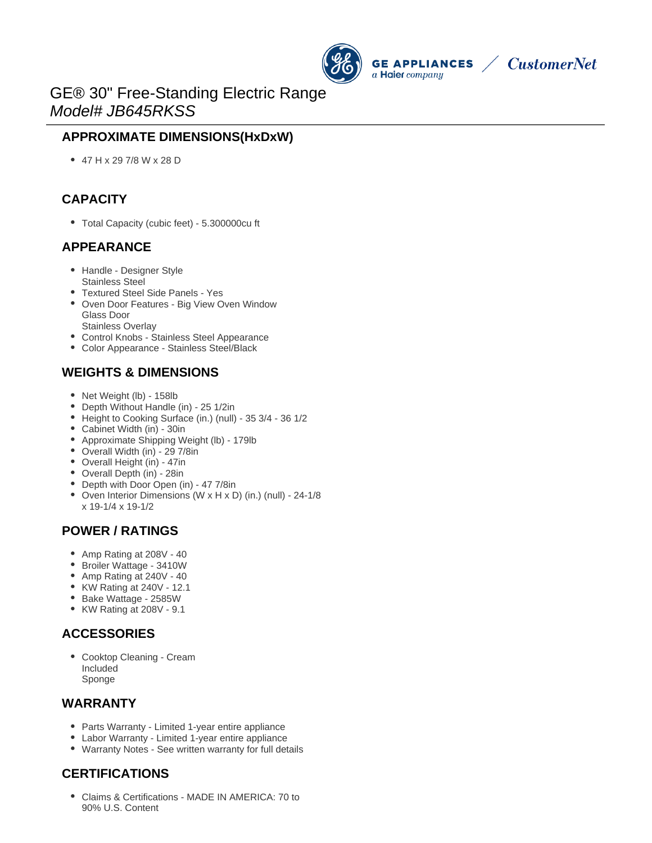



# GE® 30" Free-Standing Electric Range Model# JB645RKSS

## **APPROXIMATE DIMENSIONS(HxDxW)**

47 H x 29 7/8 W x 28 D

## **CAPACITY**

Total Capacity (cubic feet) - 5.300000cu ft

#### **APPEARANCE**

- Handle Designer Style Stainless Steel
- Textured Steel Side Panels Yes
- Oven Door Features Big View Oven Window Glass Door
	- Stainless Overlay
- Control Knobs Stainless Steel Appearance
- Color Appearance Stainless Steel/Black

### **WEIGHTS & DIMENSIONS**

- Net Weight (lb) 158lb
- Depth Without Handle (in) 25 1/2in
- Height to Cooking Surface (in.) (null) 35 3/4 36 1/2
- Cabinet Width (in) 30in
- Approximate Shipping Weight (lb) 179lb
- Overall Width (in) 29 7/8in
- Overall Height (in) 47in
- Overall Depth (in) 28in
- Depth with Door Open (in) 47 7/8in
- Oven Interior Dimensions (W x H x D) (in.) (null) 24-1/8 x 19-1/4 x 19-1/2

#### **POWER / RATINGS**

- Amp Rating at 208V 40
- Broiler Wattage 3410W
- Amp Rating at 240V 40
- KW Rating at 240V 12.1
- Bake Wattage 2585W
- KW Rating at 208V 9.1

### **ACCESSORIES**

Cooktop Cleaning - Cream Included Sponge

#### **WARRANTY**

- Parts Warranty Limited 1-year entire appliance
- Labor Warranty Limited 1-year entire appliance
- Warranty Notes See written warranty for full details

## **CERTIFICATIONS**

Claims & Certifications - MADE IN AMERICA: 70 to 90% U.S. Content